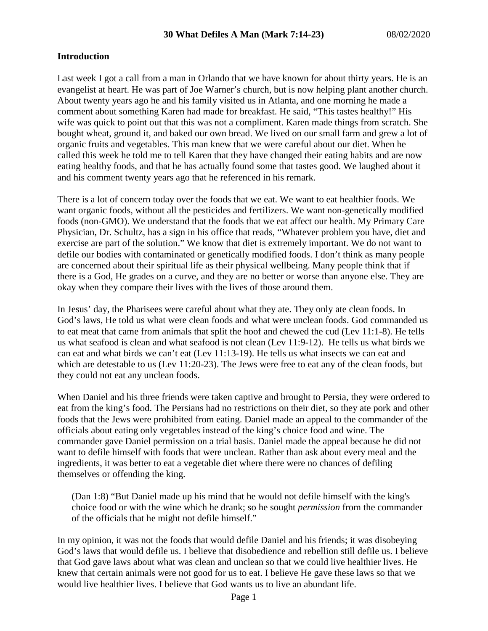# **Introduction**

Last week I got a call from a man in Orlando that we have known for about thirty years. He is an evangelist at heart. He was part of Joe Warner's church, but is now helping plant another church. About twenty years ago he and his family visited us in Atlanta, and one morning he made a comment about something Karen had made for breakfast. He said, "This tastes healthy!" His wife was quick to point out that this was not a compliment. Karen made things from scratch. She bought wheat, ground it, and baked our own bread. We lived on our small farm and grew a lot of organic fruits and vegetables. This man knew that we were careful about our diet. When he called this week he told me to tell Karen that they have changed their eating habits and are now eating healthy foods, and that he has actually found some that tastes good. We laughed about it and his comment twenty years ago that he referenced in his remark.

There is a lot of concern today over the foods that we eat. We want to eat healthier foods. We want organic foods, without all the pesticides and fertilizers. We want non-genetically modified foods (non-GMO). We understand that the foods that we eat affect our health. My Primary Care Physician, Dr. Schultz, has a sign in his office that reads, "Whatever problem you have, diet and exercise are part of the solution." We know that diet is extremely important. We do not want to defile our bodies with contaminated or genetically modified foods. I don't think as many people are concerned about their spiritual life as their physical wellbeing. Many people think that if there is a God, He grades on a curve, and they are no better or worse than anyone else. They are okay when they compare their lives with the lives of those around them.

In Jesus' day, the Pharisees were careful about what they ate. They only ate clean foods. In God's laws, He told us what were clean foods and what were unclean foods. God commanded us to eat meat that came from animals that split the hoof and chewed the cud (Lev 11:1-8). He tells us what seafood is clean and what seafood is not clean (Lev 11:9-12). He tells us what birds we can eat and what birds we can't eat (Lev 11:13-19). He tells us what insects we can eat and which are detestable to us (Lev 11:20-23). The Jews were free to eat any of the clean foods, but they could not eat any unclean foods.

When Daniel and his three friends were taken captive and brought to Persia, they were ordered to eat from the king's food. The Persians had no restrictions on their diet, so they ate pork and other foods that the Jews were prohibited from eating. Daniel made an appeal to the commander of the officials about eating only vegetables instead of the king's choice food and wine. The commander gave Daniel permission on a trial basis. Daniel made the appeal because he did not want to defile himself with foods that were unclean. Rather than ask about every meal and the ingredients, it was better to eat a vegetable diet where there were no chances of defiling themselves or offending the king.

(Dan 1:8) "But Daniel made up his mind that he would not defile himself with the king's choice food or with the wine which he drank; so he sought *permission* from the commander of the officials that he might not defile himself."

In my opinion, it was not the foods that would defile Daniel and his friends; it was disobeying God's laws that would defile us. I believe that disobedience and rebellion still defile us. I believe that God gave laws about what was clean and unclean so that we could live healthier lives. He knew that certain animals were not good for us to eat. I believe He gave these laws so that we would live healthier lives. I believe that God wants us to live an abundant life.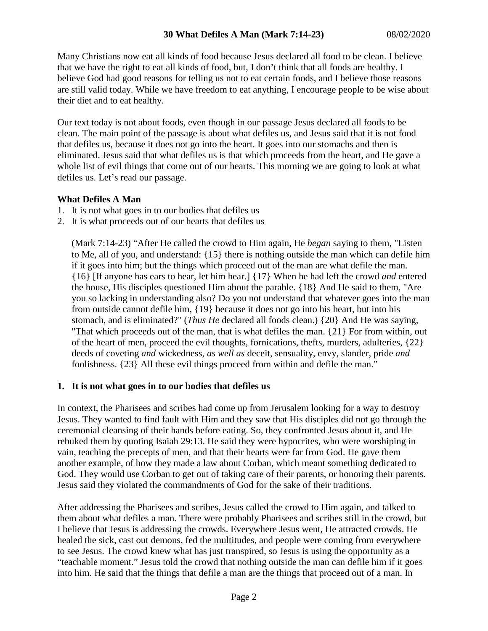Many Christians now eat all kinds of food because Jesus declared all food to be clean. I believe that we have the right to eat all kinds of food, but, I don't think that all foods are healthy. I believe God had good reasons for telling us not to eat certain foods, and I believe those reasons are still valid today. While we have freedom to eat anything, I encourage people to be wise about their diet and to eat healthy.

Our text today is not about foods, even though in our passage Jesus declared all foods to be clean. The main point of the passage is about what defiles us, and Jesus said that it is not food that defiles us, because it does not go into the heart. It goes into our stomachs and then is eliminated. Jesus said that what defiles us is that which proceeds from the heart, and He gave a whole list of evil things that come out of our hearts. This morning we are going to look at what defiles us. Let's read our passage.

## **What Defiles A Man**

- 1. It is not what goes in to our bodies that defiles us
- 2. It is what proceeds out of our hearts that defiles us

(Mark 7:14-23) "After He called the crowd to Him again, He *began* saying to them, "Listen to Me, all of you, and understand: {15} there is nothing outside the man which can defile him if it goes into him; but the things which proceed out of the man are what defile the man. {16} [If anyone has ears to hear, let him hear.] {17} When he had left the crowd *and* entered the house, His disciples questioned Him about the parable. {18} And He said to them, "Are you so lacking in understanding also? Do you not understand that whatever goes into the man from outside cannot defile him, {19} because it does not go into his heart, but into his stomach, and is eliminated?" (*Thus He* declared all foods clean.) {20} And He was saying, "That which proceeds out of the man, that is what defiles the man. {21} For from within, out of the heart of men, proceed the evil thoughts, fornications, thefts, murders, adulteries, {22} deeds of coveting *and* wickedness, *as well as* deceit, sensuality, envy, slander, pride *and* foolishness. {23} All these evil things proceed from within and defile the man."

#### **1. It is not what goes in to our bodies that defiles us**

In context, the Pharisees and scribes had come up from Jerusalem looking for a way to destroy Jesus. They wanted to find fault with Him and they saw that His disciples did not go through the ceremonial cleansing of their hands before eating. So, they confronted Jesus about it, and He rebuked them by quoting Isaiah 29:13. He said they were hypocrites, who were worshiping in vain, teaching the precepts of men, and that their hearts were far from God. He gave them another example, of how they made a law about Corban, which meant something dedicated to God. They would use Corban to get out of taking care of their parents, or honoring their parents. Jesus said they violated the commandments of God for the sake of their traditions.

After addressing the Pharisees and scribes, Jesus called the crowd to Him again, and talked to them about what defiles a man. There were probably Pharisees and scribes still in the crowd, but I believe that Jesus is addressing the crowds. Everywhere Jesus went, He attracted crowds. He healed the sick, cast out demons, fed the multitudes, and people were coming from everywhere to see Jesus. The crowd knew what has just transpired, so Jesus is using the opportunity as a "teachable moment." Jesus told the crowd that nothing outside the man can defile him if it goes into him. He said that the things that defile a man are the things that proceed out of a man. In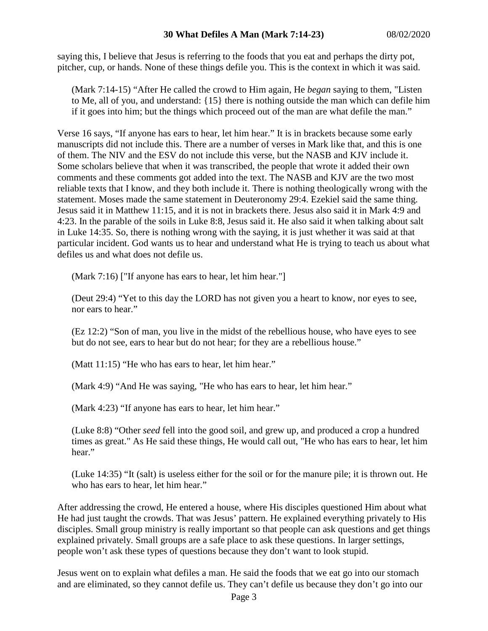saying this, I believe that Jesus is referring to the foods that you eat and perhaps the dirty pot, pitcher, cup, or hands. None of these things defile you. This is the context in which it was said.

(Mark 7:14-15) "After He called the crowd to Him again, He *began* saying to them, "Listen to Me, all of you, and understand: {15} there is nothing outside the man which can defile him if it goes into him; but the things which proceed out of the man are what defile the man."

Verse 16 says, "If anyone has ears to hear, let him hear." It is in brackets because some early manuscripts did not include this. There are a number of verses in Mark like that, and this is one of them. The NIV and the ESV do not include this verse, but the NASB and KJV include it. Some scholars believe that when it was transcribed, the people that wrote it added their own comments and these comments got added into the text. The NASB and KJV are the two most reliable texts that I know, and they both include it. There is nothing theologically wrong with the statement. Moses made the same statement in Deuteronomy 29:4. Ezekiel said the same thing. Jesus said it in Matthew 11:15, and it is not in brackets there. Jesus also said it in Mark 4:9 and 4:23. In the parable of the soils in Luke 8:8, Jesus said it. He also said it when talking about salt in Luke 14:35. So, there is nothing wrong with the saying, it is just whether it was said at that particular incident. God wants us to hear and understand what He is trying to teach us about what defiles us and what does not defile us.

(Mark 7:16) ["If anyone has ears to hear, let him hear."]

(Deut 29:4) "Yet to this day the LORD has not given you a heart to know, nor eyes to see, nor ears to hear."

(Ez 12:2) "Son of man, you live in the midst of the rebellious house, who have eyes to see but do not see, ears to hear but do not hear; for they are a rebellious house."

(Matt 11:15) "He who has ears to hear, let him hear."

(Mark 4:9) "And He was saying, "He who has ears to hear, let him hear."

(Mark 4:23) "If anyone has ears to hear, let him hear."

(Luke 8:8) "Other *seed* fell into the good soil, and grew up, and produced a crop a hundred times as great." As He said these things, He would call out, "He who has ears to hear, let him hear."

(Luke 14:35) "It (salt) is useless either for the soil or for the manure pile; it is thrown out. He who has ears to hear, let him hear."

After addressing the crowd, He entered a house, where His disciples questioned Him about what He had just taught the crowds. That was Jesus' pattern. He explained everything privately to His disciples. Small group ministry is really important so that people can ask questions and get things explained privately. Small groups are a safe place to ask these questions. In larger settings, people won't ask these types of questions because they don't want to look stupid.

Jesus went on to explain what defiles a man. He said the foods that we eat go into our stomach and are eliminated, so they cannot defile us. They can't defile us because they don't go into our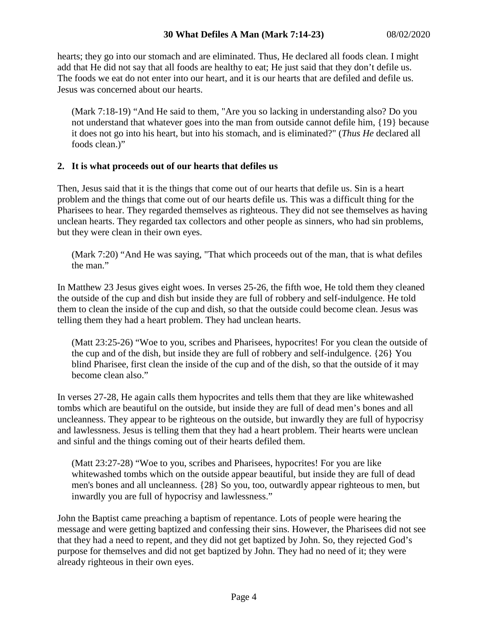hearts; they go into our stomach and are eliminated. Thus, He declared all foods clean. I might add that He did not say that all foods are healthy to eat; He just said that they don't defile us. The foods we eat do not enter into our heart, and it is our hearts that are defiled and defile us. Jesus was concerned about our hearts.

(Mark 7:18-19) "And He said to them, "Are you so lacking in understanding also? Do you not understand that whatever goes into the man from outside cannot defile him, {19} because it does not go into his heart, but into his stomach, and is eliminated?" (*Thus He* declared all foods clean.)"

## **2. It is what proceeds out of our hearts that defiles us**

Then, Jesus said that it is the things that come out of our hearts that defile us. Sin is a heart problem and the things that come out of our hearts defile us. This was a difficult thing for the Pharisees to hear. They regarded themselves as righteous. They did not see themselves as having unclean hearts. They regarded tax collectors and other people as sinners, who had sin problems, but they were clean in their own eyes.

(Mark 7:20) "And He was saying, "That which proceeds out of the man, that is what defiles the man."

In Matthew 23 Jesus gives eight woes. In verses 25-26, the fifth woe, He told them they cleaned the outside of the cup and dish but inside they are full of robbery and self-indulgence. He told them to clean the inside of the cup and dish, so that the outside could become clean. Jesus was telling them they had a heart problem. They had unclean hearts.

(Matt 23:25-26) "Woe to you, scribes and Pharisees, hypocrites! For you clean the outside of the cup and of the dish, but inside they are full of robbery and self-indulgence. {26} You blind Pharisee, first clean the inside of the cup and of the dish, so that the outside of it may become clean also."

In verses 27-28, He again calls them hypocrites and tells them that they are like whitewashed tombs which are beautiful on the outside, but inside they are full of dead men's bones and all uncleanness. They appear to be righteous on the outside, but inwardly they are full of hypocrisy and lawlessness. Jesus is telling them that they had a heart problem. Their hearts were unclean and sinful and the things coming out of their hearts defiled them.

(Matt 23:27-28) "Woe to you, scribes and Pharisees, hypocrites! For you are like whitewashed tombs which on the outside appear beautiful, but inside they are full of dead men's bones and all uncleanness. {28} So you, too, outwardly appear righteous to men, but inwardly you are full of hypocrisy and lawlessness."

John the Baptist came preaching a baptism of repentance. Lots of people were hearing the message and were getting baptized and confessing their sins. However, the Pharisees did not see that they had a need to repent, and they did not get baptized by John. So, they rejected God's purpose for themselves and did not get baptized by John. They had no need of it; they were already righteous in their own eyes.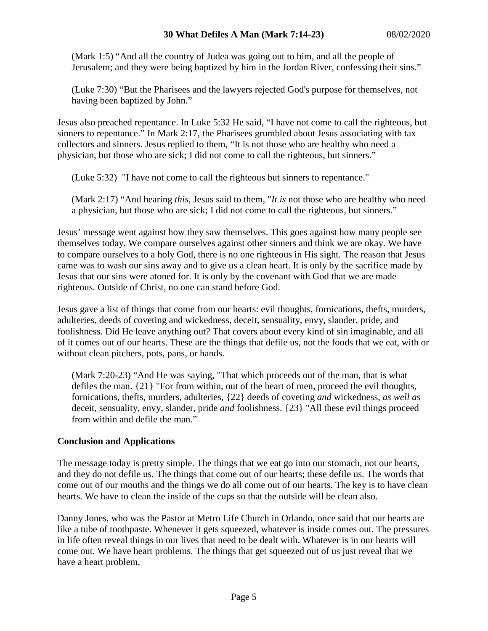(Mark 1:5) "And all the country of Judea was going out to him, and all the people of Jerusalem; and they were being baptized by him in the Jordan River, confessing their sins."

(Luke 7:30) "But the Pharisees and the lawyers rejected God's purpose for themselves, not having been baptized by John."

Jesus also preached repentance. In Luke 5:32 He said, "I have not come to call the righteous, but sinners to repentance." In Mark 2:17, the Pharisees grumbled about Jesus associating with tax collectors and sinners. Jesus replied to them, "It is not those who are healthy who need a physician, but those who are sick; I did not come to call the righteous, but sinners."

(Luke 5:32) "I have not come to call the righteous but sinners to repentance."

(Mark 2:17) "And hearing *this,* Jesus said to them, "*It is* not those who are healthy who need a physician, but those who are sick; I did not come to call the righteous, but sinners."

Jesus' message went against how they saw themselves. This goes against how many people see themselves today. We compare ourselves against other sinners and think we are okay. We have to compare ourselves to a holy God, there is no one righteous in His sight. The reason that Jesus came was to wash our sins away and to give us a clean heart. It is only by the sacrifice made by Jesus that our sins were atoned for. It is only by the covenant with God that we are made righteous. Outside of Christ, no one can stand before God.

Jesus gave a list of things that come from our hearts: evil thoughts, fornications, thefts, murders, adulteries, deeds of coveting and wickedness, deceit, sensuality, envy, slander, pride, and foolishness. Did He leave anything out? That covers about every kind of sin imaginable, and all of it comes out of our hearts. These are the things that defile us, not the foods that we eat, with or without clean pitchers, pots, pans, or hands.

(Mark 7:20-23) "And He was saying, "That which proceeds out of the man, that is what defiles the man. {21} "For from within, out of the heart of men, proceed the evil thoughts, fornications, thefts, murders, adulteries, {22} deeds of coveting *and* wickedness, *as well as* deceit, sensuality, envy, slander, pride *and* foolishness. {23} "All these evil things proceed from within and defile the man."

## **Conclusion and Applications**

The message today is pretty simple. The things that we eat go into our stomach, not our hearts, and they do not defile us. The things that come out of our hearts; these defile us. The words that come out of our mouths and the things we do all come out of our hearts. The key is to have clean hearts. We have to clean the inside of the cups so that the outside will be clean also.

Danny Jones, who was the Pastor at Metro Life Church in Orlando, once said that our hearts are like a tube of toothpaste. Whenever it gets squeezed, whatever is inside comes out. The pressures in life often reveal things in our lives that need to be dealt with. Whatever is in our hearts will come out. We have heart problems. The things that get squeezed out of us just reveal that we have a heart problem.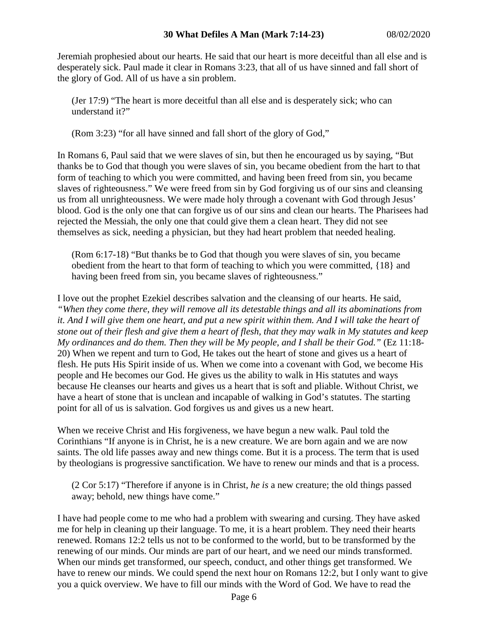Jeremiah prophesied about our hearts. He said that our heart is more deceitful than all else and is desperately sick. Paul made it clear in Romans 3:23, that all of us have sinned and fall short of the glory of God. All of us have a sin problem.

(Jer 17:9) "The heart is more deceitful than all else and is desperately sick; who can understand it?"

(Rom 3:23) "for all have sinned and fall short of the glory of God,"

In Romans 6, Paul said that we were slaves of sin, but then he encouraged us by saying, "But thanks be to God that though you were slaves of sin, you became obedient from the hart to that form of teaching to which you were committed, and having been freed from sin, you became slaves of righteousness." We were freed from sin by God forgiving us of our sins and cleansing us from all unrighteousness. We were made holy through a covenant with God through Jesus' blood. God is the only one that can forgive us of our sins and clean our hearts. The Pharisees had rejected the Messiah, the only one that could give them a clean heart. They did not see themselves as sick, needing a physician, but they had heart problem that needed healing.

(Rom 6:17-18) "But thanks be to God that though you were slaves of sin, you became obedient from the heart to that form of teaching to which you were committed, {18} and having been freed from sin, you became slaves of righteousness."

I love out the prophet Ezekiel describes salvation and the cleansing of our hearts. He said, *"When they come there, they will remove all its detestable things and all its abominations from it. And I will give them one heart, and put a new spirit within them. And I will take the heart of stone out of their flesh and give them a heart of flesh, that they may walk in My statutes and keep My ordinances and do them. Then they will be My people, and I shall be their God."* (Ez 11:18- 20) When we repent and turn to God, He takes out the heart of stone and gives us a heart of flesh. He puts His Spirit inside of us. When we come into a covenant with God, we become His people and He becomes our God. He gives us the ability to walk in His statutes and ways because He cleanses our hearts and gives us a heart that is soft and pliable. Without Christ, we have a heart of stone that is unclean and incapable of walking in God's statutes. The starting point for all of us is salvation. God forgives us and gives us a new heart.

When we receive Christ and His forgiveness, we have begun a new walk. Paul told the Corinthians "If anyone is in Christ, he is a new creature. We are born again and we are now saints. The old life passes away and new things come. But it is a process. The term that is used by theologians is progressive sanctification. We have to renew our minds and that is a process.

(2 Cor 5:17) "Therefore if anyone is in Christ, *he is* a new creature; the old things passed away; behold, new things have come."

I have had people come to me who had a problem with swearing and cursing. They have asked me for help in cleaning up their language. To me, it is a heart problem. They need their hearts renewed. Romans 12:2 tells us not to be conformed to the world, but to be transformed by the renewing of our minds. Our minds are part of our heart, and we need our minds transformed. When our minds get transformed, our speech, conduct, and other things get transformed. We have to renew our minds. We could spend the next hour on Romans 12:2, but I only want to give you a quick overview. We have to fill our minds with the Word of God. We have to read the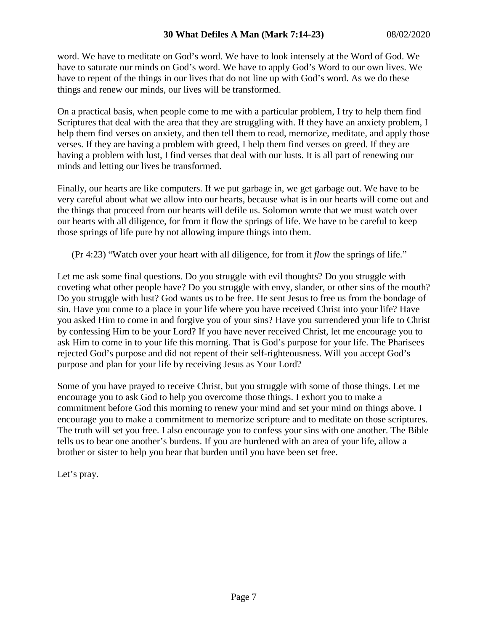word. We have to meditate on God's word. We have to look intensely at the Word of God. We have to saturate our minds on God's word. We have to apply God's Word to our own lives. We have to repent of the things in our lives that do not line up with God's word. As we do these things and renew our minds, our lives will be transformed.

On a practical basis, when people come to me with a particular problem, I try to help them find Scriptures that deal with the area that they are struggling with. If they have an anxiety problem, I help them find verses on anxiety, and then tell them to read, memorize, meditate, and apply those verses. If they are having a problem with greed, I help them find verses on greed. If they are having a problem with lust, I find verses that deal with our lusts. It is all part of renewing our minds and letting our lives be transformed.

Finally, our hearts are like computers. If we put garbage in, we get garbage out. We have to be very careful about what we allow into our hearts, because what is in our hearts will come out and the things that proceed from our hearts will defile us. Solomon wrote that we must watch over our hearts with all diligence, for from it flow the springs of life. We have to be careful to keep those springs of life pure by not allowing impure things into them.

(Pr 4:23) "Watch over your heart with all diligence, for from it *flow* the springs of life."

Let me ask some final questions. Do you struggle with evil thoughts? Do you struggle with coveting what other people have? Do you struggle with envy, slander, or other sins of the mouth? Do you struggle with lust? God wants us to be free. He sent Jesus to free us from the bondage of sin. Have you come to a place in your life where you have received Christ into your life? Have you asked Him to come in and forgive you of your sins? Have you surrendered your life to Christ by confessing Him to be your Lord? If you have never received Christ, let me encourage you to ask Him to come in to your life this morning. That is God's purpose for your life. The Pharisees rejected God's purpose and did not repent of their self-righteousness. Will you accept God's purpose and plan for your life by receiving Jesus as Your Lord?

Some of you have prayed to receive Christ, but you struggle with some of those things. Let me encourage you to ask God to help you overcome those things. I exhort you to make a commitment before God this morning to renew your mind and set your mind on things above. I encourage you to make a commitment to memorize scripture and to meditate on those scriptures. The truth will set you free. I also encourage you to confess your sins with one another. The Bible tells us to bear one another's burdens. If you are burdened with an area of your life, allow a brother or sister to help you bear that burden until you have been set free.

Let's pray.